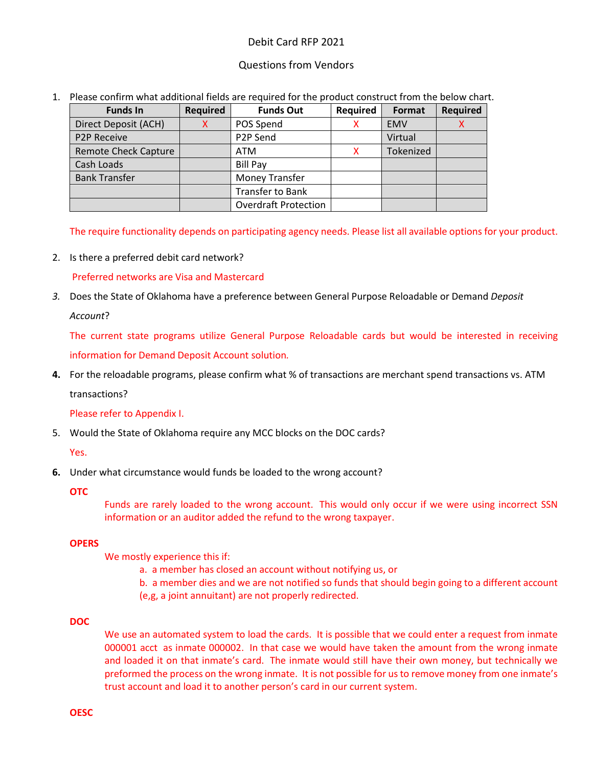# Debit Card RFP 2021

# Questions from Vendors

1. Please confirm what additional fields are required for the product construct from the below chart.

| <b>Funds In</b>             | <b>Required</b> | <b>Funds Out</b>            | <b>Required</b> | Format     | <b>Required</b> |
|-----------------------------|-----------------|-----------------------------|-----------------|------------|-----------------|
| Direct Deposit (ACH)        | x               | POS Spend                   |                 | <b>EMV</b> |                 |
| <b>P2P Receive</b>          |                 | P2P Send                    |                 | Virtual    |                 |
| <b>Remote Check Capture</b> |                 | <b>ATM</b>                  | x               | Tokenized  |                 |
| Cash Loads                  |                 | <b>Bill Pay</b>             |                 |            |                 |
| <b>Bank Transfer</b>        |                 | <b>Money Transfer</b>       |                 |            |                 |
|                             |                 | <b>Transfer to Bank</b>     |                 |            |                 |
|                             |                 | <b>Overdraft Protection</b> |                 |            |                 |

The require functionality depends on participating agency needs. Please list all available options for your product.

2. Is there a preferred debit card network?

Preferred networks are Visa and Mastercard

*3.* Does the State of Oklahoma have a preference between General Purpose Reloadable or Demand *Deposit* 

*Account*?

The current state programs utilize General Purpose Reloadable cards but would be interested in receiving information for Demand Deposit Account solution*.* 

**4.** For the reloadable programs, please confirm what % of transactions are merchant spend transactions vs. ATM

transactions?

Please refer to Appendix I.

5. Would the State of Oklahoma require any MCC blocks on the DOC cards?

Yes.

**6.** Under what circumstance would funds be loaded to the wrong account?

**OTC**

Funds are rarely loaded to the wrong account. This would only occur if we were using incorrect SSN information or an auditor added the refund to the wrong taxpayer.

## **OPERS**

We mostly experience this if:

- a. a member has closed an account without notifying us, or
- b. a member dies and we are not notified so funds that should begin going to a different account (e,g, a joint annuitant) are not properly redirected.

## **DOC**

We use an automated system to load the cards. It is possible that we could enter a request from inmate 000001 acct as inmate 000002. In that case we would have taken the amount from the wrong inmate and loaded it on that inmate's card. The inmate would still have their own money, but technically we preformed the process on the wrong inmate. It is not possible for us to remove money from one inmate's trust account and load it to another person's card in our current system.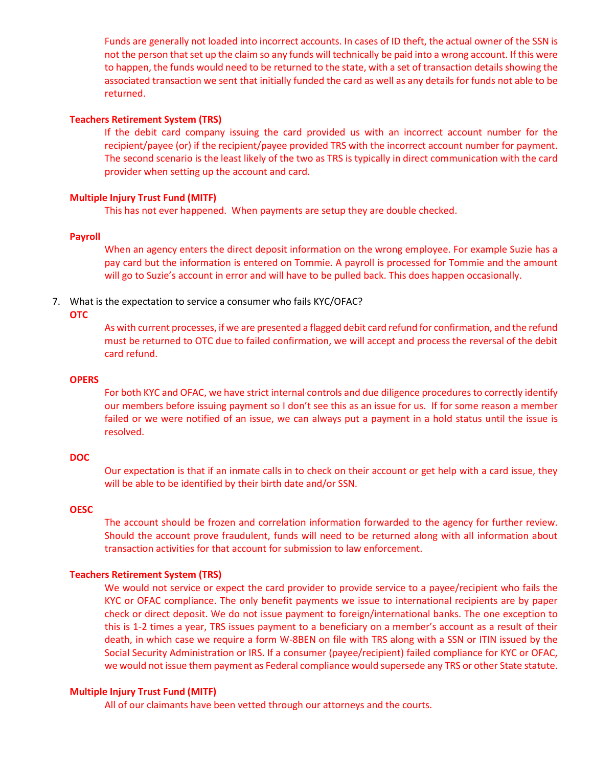Funds are generally not loaded into incorrect accounts. In cases of ID theft, the actual owner of the SSN is not the person that set up the claim so any funds will technically be paid into a wrong account. If this were to happen, the funds would need to be returned to the state, with a set of transaction details showing the associated transaction we sent that initially funded the card as well as any details for funds not able to be returned.

### **Teachers Retirement System (TRS)**

If the debit card company issuing the card provided us with an incorrect account number for the recipient/payee (or) if the recipient/payee provided TRS with the incorrect account number for payment. The second scenario is the least likely of the two as TRS is typically in direct communication with the card provider when setting up the account and card.

### **Multiple Injury Trust Fund (MITF)**

This has not ever happened. When payments are setup they are double checked.

#### **Payroll**

When an agency enters the direct deposit information on the wrong employee. For example Suzie has a pay card but the information is entered on Tommie. A payroll is processed for Tommie and the amount will go to Suzie's account in error and will have to be pulled back. This does happen occasionally.

#### 7. What is the expectation to service a consumer who fails KYC/OFAC?

#### **OTC**

As with current processes, if we are presented a flagged debit card refund for confirmation, and the refund must be returned to OTC due to failed confirmation, we will accept and process the reversal of the debit card refund.

#### **OPERS**

For both KYC and OFAC, we have strict internal controls and due diligence procedures to correctly identify our members before issuing payment so I don't see this as an issue for us. If for some reason a member failed or we were notified of an issue, we can always put a payment in a hold status until the issue is resolved.

## **DOC**

Our expectation is that if an inmate calls in to check on their account or get help with a card issue, they will be able to be identified by their birth date and/or SSN.

#### **OESC**

The account should be frozen and correlation information forwarded to the agency for further review. Should the account prove fraudulent, funds will need to be returned along with all information about transaction activities for that account for submission to law enforcement.

### **Teachers Retirement System (TRS)**

We would not service or expect the card provider to provide service to a payee/recipient who fails the KYC or OFAC compliance. The only benefit payments we issue to international recipients are by paper check or direct deposit. We do not issue payment to foreign/international banks. The one exception to this is 1-2 times a year, TRS issues payment to a beneficiary on a member's account as a result of their death, in which case we require a form W-8BEN on file with TRS along with a SSN or ITIN issued by the Social Security Administration or IRS. If a consumer (payee/recipient) failed compliance for KYC or OFAC, we would not issue them payment as Federal compliance would supersede any TRS or other State statute.

## **Multiple Injury Trust Fund (MITF)**

All of our claimants have been vetted through our attorneys and the courts.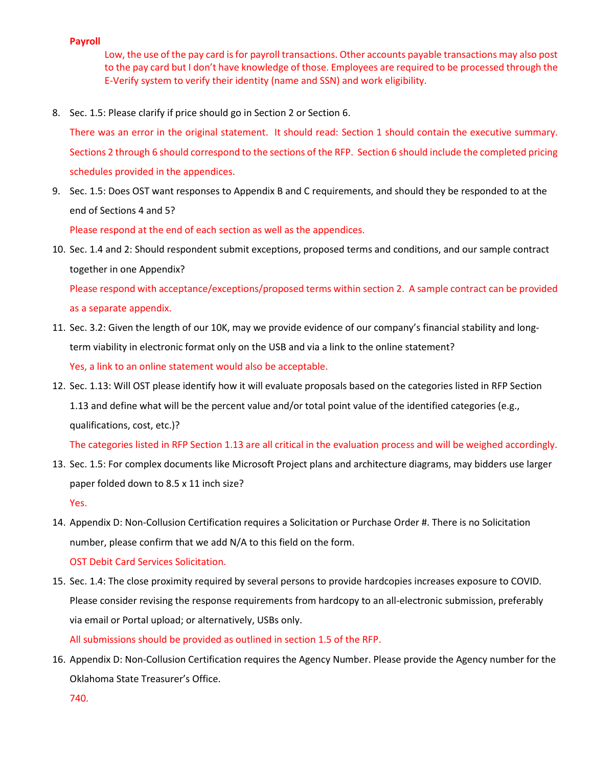### **Payroll**

Low, the use of the pay card is for payroll transactions. Other accounts payable transactions may also post to the pay card but I don't have knowledge of those. Employees are required to be processed through the E-Verify system to verify their identity (name and SSN) and work eligibility.

8. Sec. 1.5: Please clarify if price should go in Section 2 or Section 6.

There was an error in the original statement. It should read: Section 1 should contain the executive summary. Sections 2 through 6 should correspond to the sections of the RFP. Section 6 should include the completed pricing schedules provided in the appendices.

9. Sec. 1.5: Does OST want responses to Appendix B and C requirements, and should they be responded to at the end of Sections 4 and 5?

Please respond at the end of each section as well as the appendices.

10. Sec. 1.4 and 2: Should respondent submit exceptions, proposed terms and conditions, and our sample contract together in one Appendix?

Please respond with acceptance/exceptions/proposed terms within section 2. A sample contract can be provided as a separate appendix.

- 11. Sec. 3.2: Given the length of our 10K, may we provide evidence of our company's financial stability and longterm viability in electronic format only on the USB and via a link to the online statement? Yes, a link to an online statement would also be acceptable.
- 12. Sec. 1.13: Will OST please identify how it will evaluate proposals based on the categories listed in RFP Section 1.13 and define what will be the percent value and/or total point value of the identified categories (e.g., qualifications, cost, etc.)?

The categories listed in RFP Section 1.13 are all critical in the evaluation process and will be weighed accordingly.

- 13. Sec. 1.5: For complex documents like Microsoft Project plans and architecture diagrams, may bidders use larger paper folded down to 8.5 x 11 inch size? Yes.
- 14. Appendix D: Non-Collusion Certification requires a Solicitation or Purchase Order #. There is no Solicitation number, please confirm that we add N/A to this field on the form.

OST Debit Card Services Solicitation.

15. Sec. 1.4: The close proximity required by several persons to provide hardcopies increases exposure to COVID. Please consider revising the response requirements from hardcopy to an all-electronic submission, preferably via email or Portal upload; or alternatively, USBs only.

All submissions should be provided as outlined in section 1.5 of the RFP.

16. Appendix D: Non-Collusion Certification requires the Agency Number. Please provide the Agency number for the Oklahoma State Treasurer's Office.

740.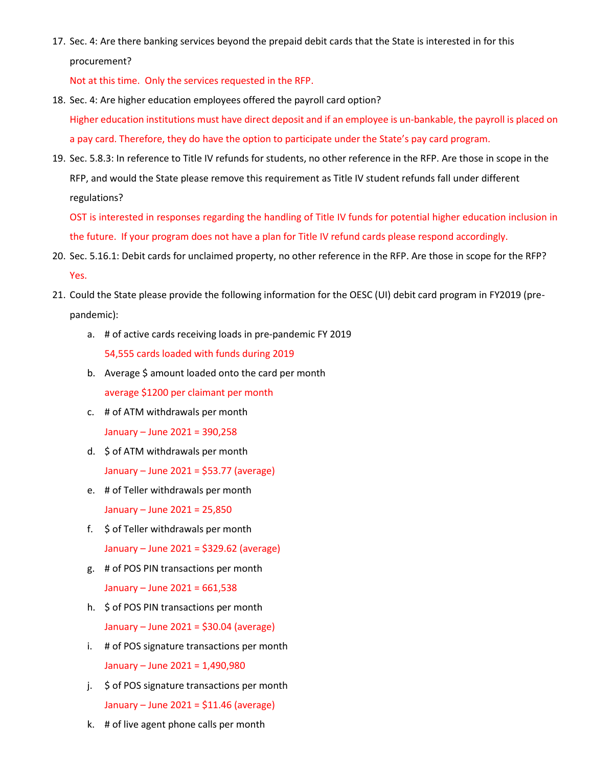17. Sec. 4: Are there banking services beyond the prepaid debit cards that the State is interested in for this procurement?

Not at this time. Only the services requested in the RFP.

- 18. Sec. 4: Are higher education employees offered the payroll card option? Higher education institutions must have direct deposit and if an employee is un-bankable, the payroll is placed on a pay card. Therefore, they do have the option to participate under the State's pay card program.
- 19. Sec. 5.8.3: In reference to Title IV refunds for students, no other reference in the RFP. Are those in scope in the RFP, and would the State please remove this requirement as Title IV student refunds fall under different regulations?

OST is interested in responses regarding the handling of Title IV funds for potential higher education inclusion in the future. If your program does not have a plan for Title IV refund cards please respond accordingly.

- 20. Sec. 5.16.1: Debit cards for unclaimed property, no other reference in the RFP. Are those in scope for the RFP? Yes.
- 21. Could the State please provide the following information for the OESC (UI) debit card program in FY2019 (prepandemic):
	- a. # of active cards receiving loads in pre‐pandemic FY 2019 54,555 cards loaded with funds during 2019
	- b. Average \$ amount loaded onto the card per month average \$1200 per claimant per month
	- c. # of ATM withdrawals per month

January – June 2021 = 390,258

- d. \$ of ATM withdrawals per month January – June 2021 = \$53.77 (average)
- e. # of Teller withdrawals per month January – June 2021 = 25,850
- f. \$ of Teller withdrawals per month January – June 2021 = \$329.62 (average)
- g. # of POS PIN transactions per month January – June 2021 = 661,538
- h. \$ of POS PIN transactions per month January – June 2021 = \$30.04 (average)
- i. # of POS signature transactions per month January – June 2021 = 1,490,980
- j. \$ of POS signature transactions per month January – June 2021 = \$11.46 (average)
- k. # of live agent phone calls per month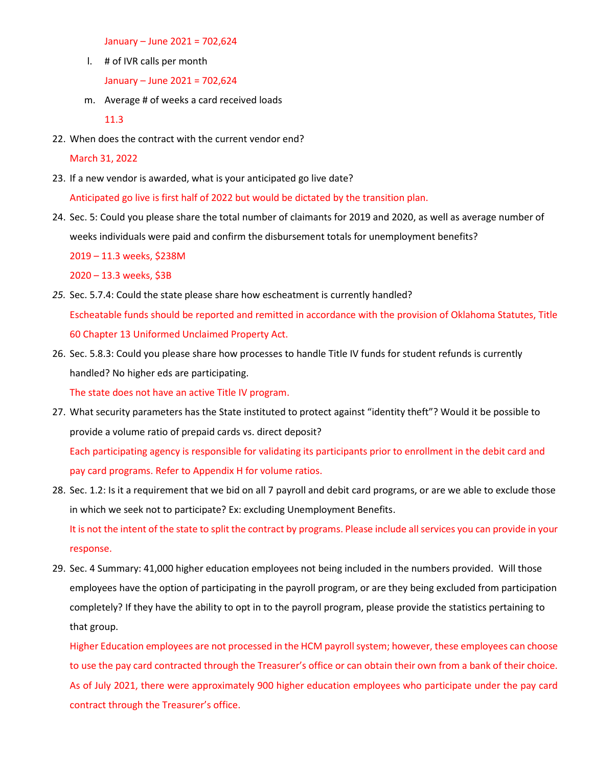January – June 2021 = 702,624

l. # of IVR calls per month

January – June 2021 = 702,624

m. Average # of weeks a card received loads

11.3

22. When does the contract with the current vendor end?

March 31, 2022

23. If a new vendor is awarded, what is your anticipated go live date?

Anticipated go live is first half of 2022 but would be dictated by the transition plan.

24. Sec. 5: Could you please share the total number of claimants for 2019 and 2020, as well as average number of weeks individuals were paid and confirm the disbursement totals for unemployment benefits?

2019 – 11.3 weeks, \$238M

2020 – 13.3 weeks, \$3B

- *25.* Sec. 5.7.4: Could the state please share how escheatment is currently handled? Escheatable funds should be reported and remitted in accordance with the provision of Oklahoma Statutes, Title 60 Chapter 13 Uniformed Unclaimed Property Act.
- 26. Sec. 5.8.3: Could you please share how processes to handle Title IV funds for student refunds is currently handled? No higher eds are participating.

The state does not have an active Title IV program.

- 27. What security parameters has the State instituted to protect against "identity theft"? Would it be possible to provide a volume ratio of prepaid cards vs. direct deposit? Each participating agency is responsible for validating its participants prior to enrollment in the debit card and pay card programs. Refer to Appendix H for volume ratios.
- 28. Sec. 1.2: Is it a requirement that we bid on all 7 payroll and debit card programs, or are we able to exclude those in which we seek not to participate? Ex: excluding Unemployment Benefits. It is not the intent of the state to split the contract by programs. Please include all services you can provide in your response.
- 29. Sec. 4 Summary: 41,000 higher education employees not being included in the numbers provided. Will those employees have the option of participating in the payroll program, or are they being excluded from participation completely? If they have the ability to opt in to the payroll program, please provide the statistics pertaining to that group.

Higher Education employees are not processed in the HCM payroll system; however, these employees can choose to use the pay card contracted through the Treasurer's office or can obtain their own from a bank of their choice. As of July 2021, there were approximately 900 higher education employees who participate under the pay card contract through the Treasurer's office.